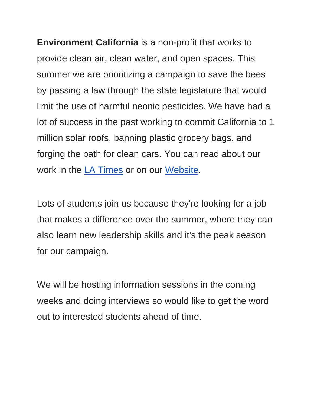**Environment California** is a non-profit that works to provide clean air, clean water, and open spaces. This summer we are prioritizing a campaign to save the bees by passing a law through the state legislature that would limit the use of harmful neonic pesticides. We have had a lot of success in the past working to commit California to 1 million solar roofs, banning plastic grocery bags, and forging the path for clean cars. You can read about our work in the [LA Times](https://publicinterestnetwork-dot-yamm-track.appspot.com/1d4wtQy3iO4UzKeWZFPV-cdnhWGZxi7teklF89pRk98AobbWLgAFd3X-MDWcArGQp2T9ZglVNIIEiUcnbp-Cpt7KfFdnizMmeD0Ot7UX1Dj_v3hA5lpljqCBOPuAmiAi1UPFVHPzPEIb_K0vrJKKaXuM3gQJCRpBIHvz1twQPY4ygA8l1hSIGgzLMyfOBfriDuV-DDFUYiuVup9jEQpg) or on our [Website.](https://publicinterestnetwork-dot-yamm-track.appspot.com/1FntTceKlkIlAwBiuLUvaZ6mi-YGWVP6hrVjhL5L-7uMqbbWLgAFxGisDvOgwD1ABNjVbpkYqIi3ZlYk7i4Ct9BxjxFYeckdTcHsEhJYn45SCEKhyqR_QR6-KWYbUltgwf-xB-r2PYTMf)

Lots of students join us because they're looking for a job that makes a difference over the summer, where they can also learn new leadership skills and it's the peak season for our campaign.

We will be hosting information sessions in the coming weeks and doing interviews so would like to get the word out to interested students ahead of time.